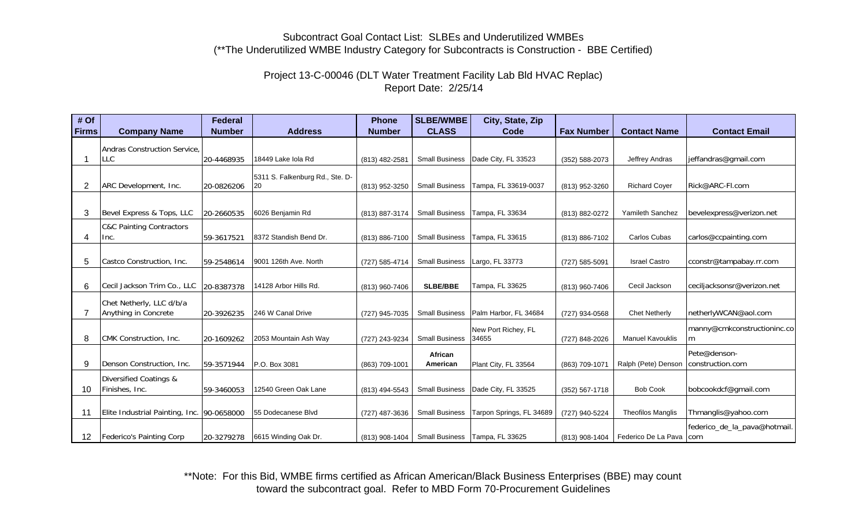### Subcontract Goal Contact List: SLBEs and Underutilized WMBEs (\*\*The Underutilized WMBE Industry Category for Subcontracts is Construction - BBE Certified)

# Project 13-C-00046 (DLT Water Treatment Facility Lab Bld HVAC Replac) Report Date: 2/25/14

| # Of            |                                            | <b>Federal</b> |                                 | <b>Phone</b>   | <b>SLBE/WMBE</b>      | City, State, Zip                 |                    |                           |                              |
|-----------------|--------------------------------------------|----------------|---------------------------------|----------------|-----------------------|----------------------------------|--------------------|---------------------------|------------------------------|
| <b>Firms</b>    | <b>Company Name</b>                        | <b>Number</b>  | <b>Address</b>                  | <b>Number</b>  | <b>CLASS</b>          | Code                             | <b>Fax Number</b>  | <b>Contact Name</b>       | <b>Contact Email</b>         |
|                 | Andras Construction Service.               |                |                                 |                |                       |                                  |                    |                           |                              |
|                 | <b>LLC</b>                                 | 20-4468935     | 18449 Lake Jola Rd              | (813) 482-2581 | <b>Small Business</b> | Dade City, FL 33523              | (352) 588-2073     | Jeffrey Andras            | jeffandras@gmail.com         |
|                 |                                            |                | 5311 S. Falkenburg Rd., Ste. D- |                |                       |                                  |                    |                           |                              |
| 2               | ARC Development, Inc.                      | 20-0826206     | 20                              | (813) 952-3250 | <b>Small Business</b> | Tampa, FL 33619-0037             | (813) 952-3260     | <b>Richard Coyer</b>      | Rick@ARC-Fl.com              |
|                 |                                            |                |                                 |                |                       |                                  |                    |                           |                              |
| 3               | Bevel Express & Tops, LLC                  | 20-2660535     | 6026 Benjamin Rd                | (813) 887-3174 | <b>Small Business</b> | Tampa, FL 33634                  | (813) 882-0272     | Yamileth Sanchez          | bevelexpress@verizon.net     |
|                 | <b>C&amp;C Painting Contractors</b>        |                |                                 |                |                       |                                  |                    |                           |                              |
| 4               | Inc.                                       | 59-3617521     | 8372 Standish Bend Dr.          | (813) 886-7100 | <b>Small Business</b> | Tampa, FL 33615                  | (813) 886-7102     | Carlos Cubas              | carlos@ccpainting.com        |
|                 |                                            |                |                                 |                |                       |                                  |                    |                           |                              |
| 5               | Castco Construction, Inc.                  | 59-2548614     | 9001 126th Ave. North           | (727) 585-4714 | <b>Small Business</b> | Largo, FL 33773                  | (727) 585-5091     | <b>Israel Castro</b>      | cconstr@tampabay.rr.com      |
|                 |                                            |                |                                 |                |                       |                                  |                    |                           |                              |
| 6               | Cecil Jackson Trim Co., LLC                | 20-8387378     | 14128 Arbor Hills Rd.           | (813) 960-7406 | <b>SLBE/BBE</b>       | Tampa, FL 33625                  | (813) 960-7406     | Cecil Jackson             | ceciljacksonsr@verizon.net   |
|                 | Chet Netherly, LLC d/b/a                   |                |                                 |                |                       |                                  |                    |                           |                              |
| 7               | Anything in Concrete                       | 20-3926235     | 246 W Canal Drive               | (727) 945-7035 | <b>Small Business</b> | Palm Harbor, FL 34684            | (727) 934-0568     | <b>Chet Netherly</b>      | netherlyWCAN@aol.com         |
|                 |                                            |                |                                 |                |                       | New Port Richey, FL              |                    |                           | manny@cmkconstructioninc.co  |
| 8               | CMK Construction, Inc.                     | 20-1609262     | 2053 Mountain Ash Way           | (727) 243-9234 | <b>Small Business</b> | 34655                            | (727) 848-2026     | <b>Manuel Kavouklis</b>   | m                            |
|                 |                                            |                |                                 |                | African               |                                  |                    |                           | Pete@denson-                 |
| 9               | Denson Construction, Inc.                  | 59-3571944     | P.O. Box 3081                   | (863) 709-1001 | American              | Plant City, FL 33564             | (863) 709-1071     | Ralph (Pete) Denson       | construction.com             |
|                 | <b>Diversified Coatings &amp;</b>          |                |                                 |                |                       |                                  |                    |                           |                              |
| 10              | Finishes, Inc.                             | 59-3460053     | 12540 Green Oak Lane            | (813) 494-5543 | <b>Small Business</b> | Dade City, FL 33525              | $(352) 567 - 1718$ | <b>Bob Cook</b>           | bobcookdcf@gmail.com         |
|                 |                                            |                |                                 |                |                       |                                  |                    |                           |                              |
| 11              | Elite Industrial Painting, Inc. 90-0658000 |                | 55 Dodecanese Blvd              | (727) 487-3636 | <b>Small Business</b> | Tarpon Springs, FL 34689         | (727) 940-5224     | <b>Theofilos Manglis</b>  | Thmanglis@yahoo.com          |
|                 |                                            |                |                                 |                |                       |                                  |                    |                           | federico_de_la_pava@hotmail. |
| 12 <sup>2</sup> | Federico's Painting Corp                   | 20-3279278     | 6615 Winding Oak Dr.            | (813) 908-1404 |                       | Small Business   Tampa, FL 33625 | (813) 908-1404     | Federico De La Pava   com |                              |

\*\*Note: For this Bid, WMBE firms certified as African American/Black Business Enterprises (BBE) may count toward the subcontract goal. Refer to MBD Form 70-Procurement Guidelines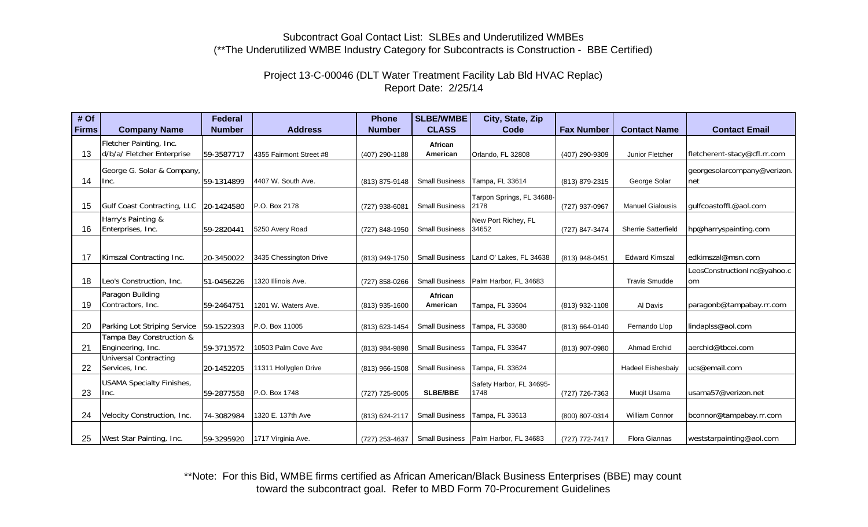### Subcontract Goal Contact List: SLBEs and Underutilized WMBEs (\*\*The Underutilized WMBE Industry Category for Subcontracts is Construction - BBE Certified)

# Project 13-C-00046 (DLT Water Treatment Facility Lab Bld HVAC Replac) Report Date: 2/25/14

| # Of         |                                                       | <b>Federal</b> |                         | <b>Phone</b>   | <b>SLBE/WMBE</b>      | City, State, Zip                       |                   |                            |                                    |
|--------------|-------------------------------------------------------|----------------|-------------------------|----------------|-----------------------|----------------------------------------|-------------------|----------------------------|------------------------------------|
| <b>Firms</b> | <b>Company Name</b>                                   | <b>Number</b>  | <b>Address</b>          | <b>Number</b>  | <b>CLASS</b>          | Code                                   | <b>Fax Number</b> | <b>Contact Name</b>        | <b>Contact Email</b>               |
| 13           | Fletcher Painting, Inc.<br>d/b/a/ Fletcher Enterprise | 59-3587717     | 4355 Fairmont Street #8 | (407) 290-1188 | African<br>American   | Orlando, FL 32808                      | (407) 290-9309    | Junior Fletcher            | fletcherent-stacy@cfl.rr.com       |
| 14           | George G. Solar & Company,<br>Inc.                    | 59-1314899     | 4407 W. South Ave.      | (813) 875-9148 | <b>Small Business</b> | Tampa, FL 33614                        | (813) 879-2315    | George Solar               | georgesolarcompany@verizon.<br>net |
| 15           | Gulf Coast Contracting, LLC                           | 20-1424580     | P.O. Box 2178           | (727) 938-6081 | <b>Small Business</b> | Tarpon Springs, FL 34688-<br>2178      | (727) 937-0967    | <b>Manuel Gialousis</b>    | gulfcoastoffL@aol.com              |
| 16           | Harry's Painting &<br>Enterprises, Inc.               | 59-2820441     | 5250 Avery Road         | (727) 848-1950 | <b>Small Business</b> | New Port Richey, FL<br>34652           | (727) 847-3474    | <b>Sherrie Satterfield</b> | hp@harryspainting.com              |
| 17           | Kimszal Contracting Inc.                              | 20-3450022     | 3435 Chessington Drive  | (813) 949-1750 | <b>Small Business</b> | Land O' Lakes, FL 34638                | (813) 948-0451    | <b>Edward Kimszal</b>      | edkimszal@msn.com                  |
| 18           | Leo's Construction, Inc.                              | 51-0456226     | 1320 Illinois Ave.      | (727) 858-0266 | <b>Small Business</b> | Palm Harbor, FL 34683                  |                   | <b>Travis Smudde</b>       | LeosConstructionInc@yahoo.c<br>om  |
| 19           | Paragon Building<br>Contractors, Inc.                 | 59-2464751     | 1201 W. Waters Ave.     | (813) 935-1600 | African<br>American   | Tampa, FL 33604                        | (813) 932-1108    | Al Davis                   | paragonb@tampabay.rr.com           |
| 20           | Parking Lot Striping Service                          | 59-1522393     | P.O. Box 11005          | (813) 623-1454 | <b>Small Business</b> | Tampa, FL 33680                        | (813) 664-0140    | Fernando Llop              | lindaplss@aol.com                  |
| 21           | Tampa Bay Construction &<br>Engineering, Inc.         | 59-3713572     | 10503 Palm Cove Ave     | (813) 984-9898 | <b>Small Business</b> | Tampa, FL 33647                        | (813) 907-0980    | Ahmad Erchid               | aerchid@tbcei.com                  |
| 22           | <b>Universal Contracting</b><br>Services, Inc.        | 20-1452205     | 11311 Hollyglen Drive   | (813) 966-1508 | <b>Small Business</b> | Tampa, FL 33624                        |                   | <b>Hadeel Eishesbaiv</b>   | ucs@email.com                      |
| 23           | <b>USAMA Specialty Finishes,</b><br>Inc.              | 59-2877558     | P.O. Box 1748           | (727) 725-9005 | <b>SLBE/BBE</b>       | Safety Harbor, FL 34695-<br>1748       | (727) 726-7363    | Mugit Usama                | usama57@verizon.net                |
| 24           | Velocity Construction, Inc.                           | 74-3082984     | 1320 E. 137th Ave       | (813) 624-2117 | <b>Small Business</b> | Tampa, FL 33613                        | (800) 807-0314    | <b>William Connor</b>      | bconnor@tampabay.rr.com            |
| 25           | West Star Painting, Inc.                              | 59-3295920     | 1717 Virginia Ave.      | (727) 253-4637 |                       | Small Business   Palm Harbor, FL 34683 | (727) 772-7417    | <b>Flora Giannas</b>       | weststarpainting@aol.com           |

\*\*Note: For this Bid, WMBE firms certified as African American/Black Business Enterprises (BBE) may count toward the subcontract goal. Refer to MBD Form 70-Procurement Guidelines